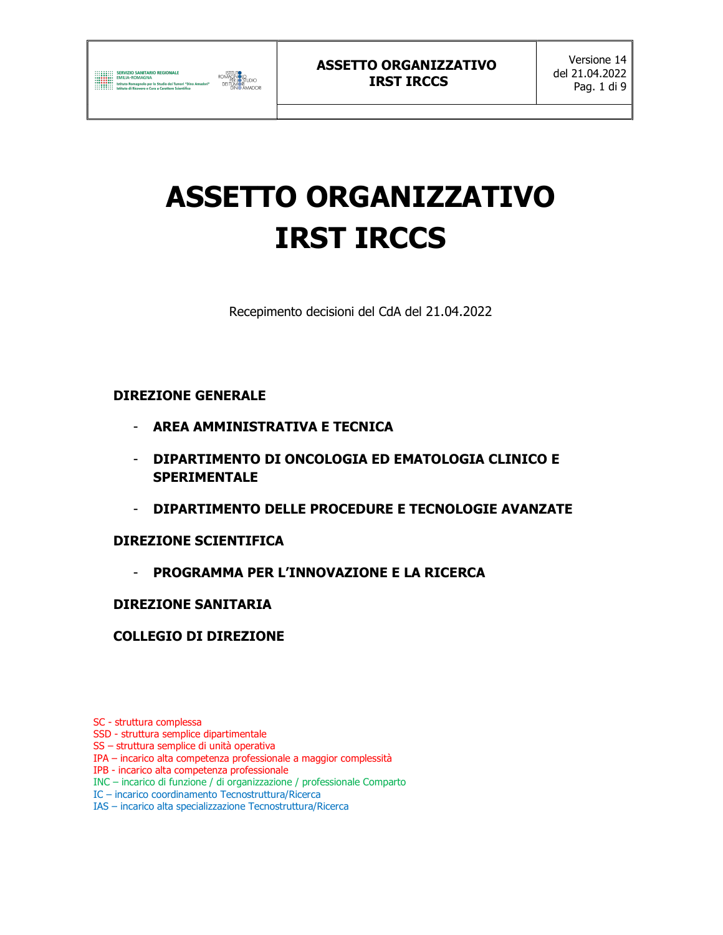

# ASSETTO ORGANIZZATIVO IRST IRCCS

Recepimento decisioni del CdA del 21.04.2022

## DIREZIONE GENERALE

- AREA AMMINISTRATIVA E TECNICA
- DIPARTIMENTO DI ONCOLOGIA ED EMATOLOGIA CLINICO E **SPERIMENTALE**
- DIPARTIMENTO DELLE PROCEDURE E TECNOLOGIE AVANZATE

## DIREZIONE SCIENTIFICA

- PROGRAMMA PER L'INNOVAZIONE E LA RICERCA

## DIREZIONE SANITARIA

## COLLEGIO DI DIREZIONE

SC - struttura complessa

- SSD struttura semplice dipartimentale
- SS struttura semplice di unità operativa
- IPA incarico alta competenza professionale a maggior complessità
- IPB incarico alta competenza professionale
- INC incarico di funzione / di organizzazione / professionale Comparto
- IC incarico coordinamento Tecnostruttura/Ricerca
- IAS incarico alta specializzazione Tecnostruttura/Ricerca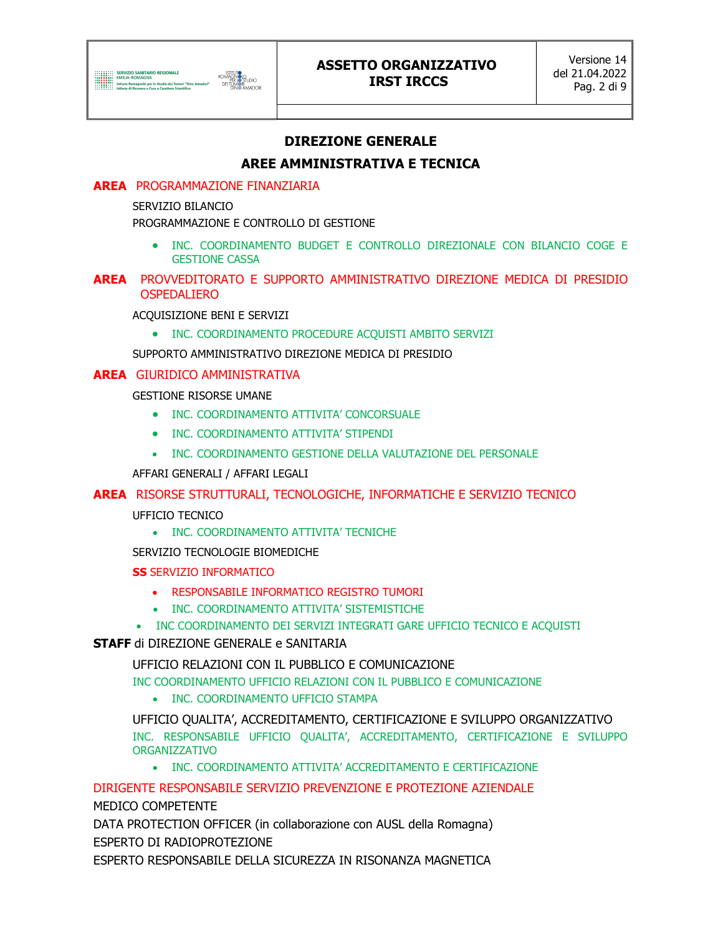

## ASSETTO ORGANIZZATIVO IRST IRCCS

## DIREZIONE GENERALE

## AREE AMMINISTRATIVA E TECNICA

#### AREA PROGRAMMAZIONE FINANZIARIA

SERVIZIO BILANCIO

PROGRAMMAZIONE E CONTROLLO DI GESTIONE

 INC. COORDINAMENTO BUDGET E CONTROLLO DIREZIONALE CON BILANCIO COGE E GESTIONE CASSA

#### AREA PROVVEDITORATO E SUPPORTO AMMINISTRATIVO DIREZIONE MEDICA DI PRESIDIO OSPEDALIERO

ACQUISIZIONE BENI E SERVIZI

• INC. COORDINAMENTO PROCEDURE ACQUISTI AMBITO SERVIZI

SUPPORTO AMMINISTRATIVO DIREZIONE MEDICA DI PRESIDIO

#### AREA GIURIDICO AMMINISTRATIVA

GESTIONE RISORSE UMANE

- **INC. COORDINAMENTO ATTIVITA' CONCORSUALE**
- INC. COORDINAMENTO ATTIVITA' STIPENDI
- INC. COORDINAMENTO GESTIONE DELLA VALUTAZIONE DEL PERSONALE

AFFARI GENERALI / AFFARI LEGALI

#### AREA RISORSE STRUTTURALI, TECNOLOGICHE, INFORMATICHE E SERVIZIO TECNICO

UFFICIO TECNICO

• INC. COORDINAMENTO ATTIVITA' TECNICHE

SERVIZIO TECNOLOGIE BIOMEDICHE

**SS SERVIZIO INFORMATICO** 

- RESPONSABILE INFORMATICO REGISTRO TUMORI
- INC. COORDINAMENTO ATTIVITA' SISTEMISTICHE
- INC COORDINAMENTO DEI SERVIZI INTEGRATI GARE UFFICIO TECNICO E ACQUISTI

#### STAFF di DIREZIONE GENERALE e SANITARIA

UFFICIO RELAZIONI CON IL PUBBLICO E COMUNICAZIONE

INC COORDINAMENTO UFFICIO RELAZIONI CON IL PUBBLICO E COMUNICAZIONE

• INC. COORDINAMENTO UFFICIO STAMPA

UFFICIO QUALITA', ACCREDITAMENTO, CERTIFICAZIONE E SVILUPPO ORGANIZZATIVO INC. RESPONSABILE UFFICIO QUALITA', ACCREDITAMENTO, CERTIFICAZIONE E SVILUPPO ORGANIZZATIVO

INC. COORDINAMENTO ATTIVITA' ACCREDITAMENTO E CERTIFICAZIONE

DIRIGENTE RESPONSABILE SERVIZIO PREVENZIONE E PROTEZIONE AZIENDALE

MEDICO COMPETENTE

DATA PROTECTION OFFICER (in collaborazione con AUSL della Romagna) ESPERTO DI RADIOPROTEZIONE

ESPERTO RESPONSABILE DELLA SICUREZZA IN RISONANZA MAGNETICA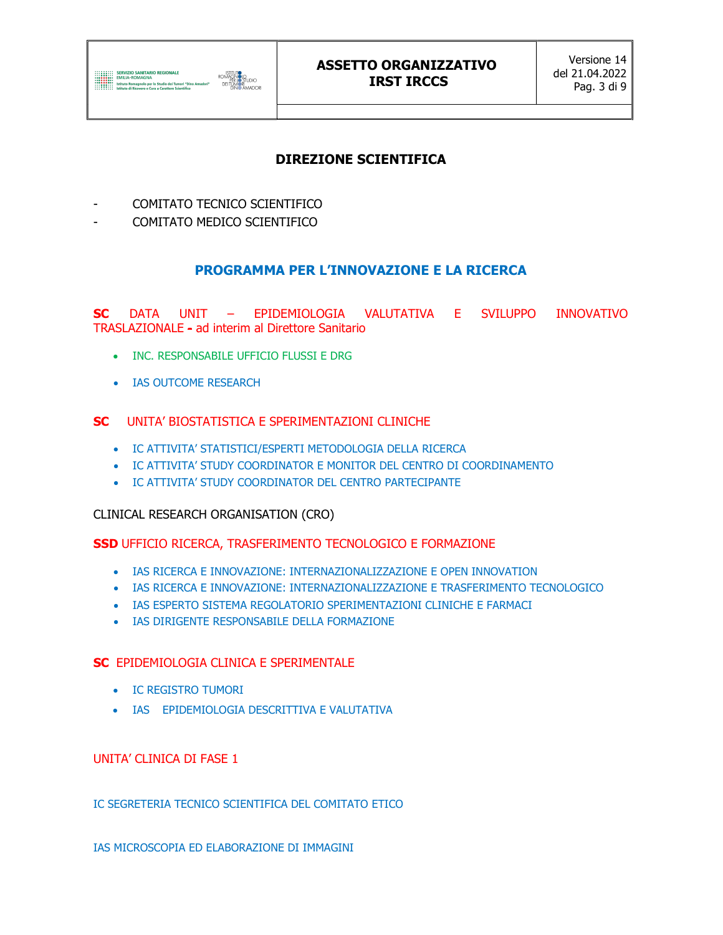

## ASSETTO ORGANIZZATIVO IRST IRCCS

## DIREZIONE SCIENTIFICA

- COMITATO TECNICO SCIENTIFICO
- COMITATO MEDICO SCIENTIFICO

## PROGRAMMA PER L'INNOVAZIONE E LA RICERCA

SC DATA UNIT – EPIDEMIOLOGIA VALUTATIVA E SVILUPPO INNOVATIVO TRASLAZIONALE - ad interim al Direttore Sanitario

- **INC. RESPONSABILE UFFICIO FLUSSI E DRG**
- IAS OUTCOME RESEARCH

#### SC UNITA' BIOSTATISTICA E SPERIMENTAZIONI CLINICHE

- IC ATTIVITA' STATISTICI/ESPERTI METODOLOGIA DELLA RICERCA
- IC ATTIVITA' STUDY COORDINATOR E MONITOR DEL CENTRO DI COORDINAMENTO
- IC ATTIVITA' STUDY COORDINATOR DEL CENTRO PARTECIPANTE

#### CLINICAL RESEARCH ORGANISATION (CRO)

#### SSD UFFICIO RICERCA, TRASFERIMENTO TECNOLOGICO E FORMAZIONE

- **.** IAS RICERCA E INNOVAZIONE: INTERNAZIONALIZZAZIONE E OPEN INNOVATION
- IAS RICERCA E INNOVAZIONE: INTERNAZIONALIZZAZIONE E TRASFERIMENTO TECNOLOGICO
- **IAS ESPERTO SISTEMA REGOLATORIO SPERIMENTAZIONI CLINICHE E FARMACI**
- IAS DIRIGENTE RESPONSABILE DELLA FORMAZIONE

#### SC EPIDEMIOLOGIA CLINICA E SPERIMENTALE

- IC REGISTRO TUMORI
- IAS EPIDEMIOLOGIA DESCRITTIVA E VALUTATIVA

#### UNITA' CLINICA DI FASE 1

IC SEGRETERIA TECNICO SCIENTIFICA DEL COMITATO ETICO

IAS MICROSCOPIA ED ELABORAZIONE DI IMMAGINI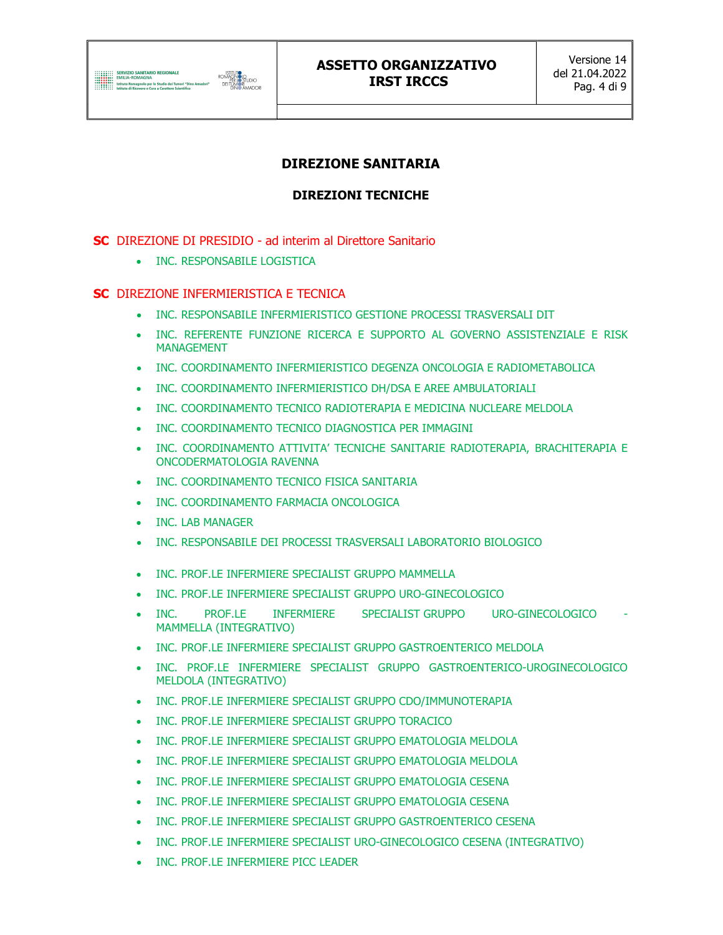

## DIREZIONE SANITARIA

## DIREZIONI TECNICHE

SC DIREZIONE DI PRESIDIO - ad interim al Direttore Sanitario

• INC. RESPONSABILE LOGISTICA

#### SC DIREZIONE INFERMIERISTICA E TECNICA

- INC. RESPONSABILE INFERMIERISTICO GESTIONE PROCESSI TRASVERSALI DIT
- INC. REFERENTE FUNZIONE RICERCA E SUPPORTO AL GOVERNO ASSISTENZIALE E RISK MANAGEMENT
- INC. COORDINAMENTO INFERMIERISTICO DEGENZA ONCOLOGIA E RADIOMETABOLICA
- INC. COORDINAMENTO INFERMIERISTICO DH/DSA E AREE AMBULATORIALI
- INC. COORDINAMENTO TECNICO RADIOTERAPIA E MEDICINA NUCLEARE MELDOLA
- INC. COORDINAMENTO TECNICO DIAGNOSTICA PER IMMAGINI
- INC. COORDINAMENTO ATTIVITA' TECNICHE SANITARIE RADIOTERAPIA, BRACHITERAPIA E ONCODERMATOLOGIA RAVENNA
- **INC. COORDINAMENTO TECNICO FISICA SANITARIA**
- INC. COORDINAMENTO FARMACIA ONCOLOGICA
- INC. LAB MANAGER
- INC. RESPONSABILE DEI PROCESSI TRASVERSALI LABORATORIO BIOLOGICO
- INC. PROF.LE INFERMIERE SPECIALIST GRUPPO MAMMELLA
- INC. PROF.LE INFERMIERE SPECIALIST GRUPPO URO-GINECOLOGICO
- INC. PROF.LE INFERMIERE SPECIALIST\_GRUPPO URO-GINECOLOGICO MAMMELLA (INTEGRATIVO)
- INC. PROF.LE INFERMIERE SPECIALIST GRUPPO GASTROENTERICO MELDOLA
- INC. PROF.LE INFERMIERE SPECIALIST GRUPPO GASTROENTERICO-UROGINECOLOGICO MELDOLA (INTEGRATIVO)
- INC. PROF.LE INFERMIERE SPECIALIST GRUPPO CDO/IMMUNOTERAPIA
- INC. PROF.LE INFERMIERE SPECIALIST GRUPPO TORACICO
- INC. PROF.LE INFERMIERE SPECIALIST GRUPPO EMATOLOGIA MELDOLA
- INC. PROF.LE INFERMIERE SPECIALIST GRUPPO EMATOLOGIA MELDOLA
- INC. PROF.LE INFERMIERE SPECIALIST GRUPPO EMATOLOGIA CESENA
- **. INC. PROF.LE INFERMIERE SPECIALIST GRUPPO EMATOLOGIA CESENA**
- INC. PROF.LE INFERMIERE SPECIALIST GRUPPO GASTROENTERICO CESENA
- INC. PROF.LE INFERMIERE SPECIALIST URO-GINECOLOGICO CESENA (INTEGRATIVO)
- INC. PROF.LE INFERMIERE PICC LEADER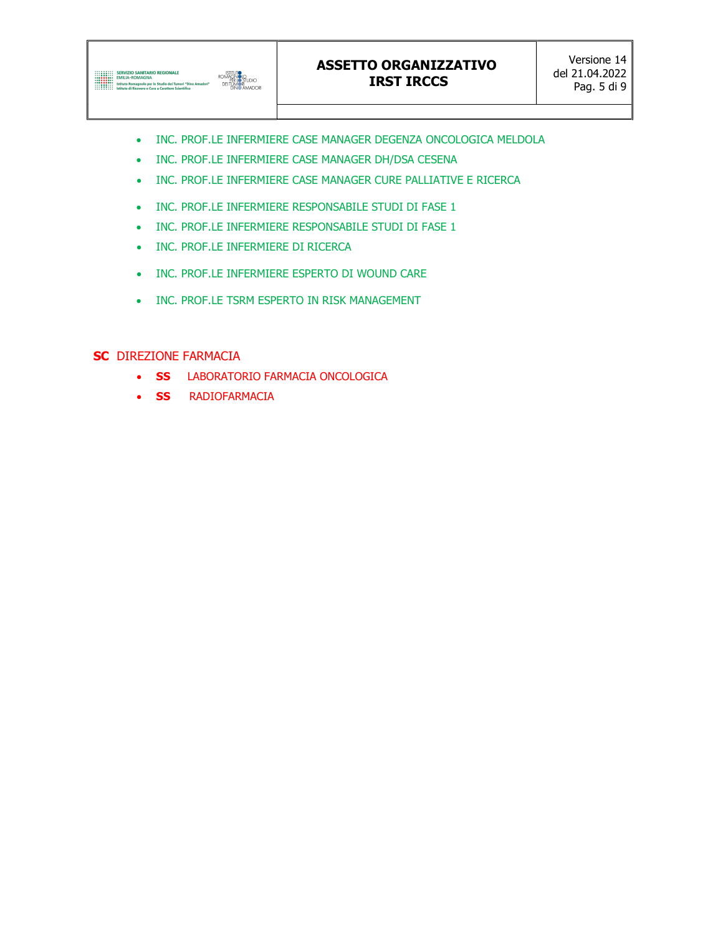

- INC. PROF.LE INFERMIERE CASE MANAGER DEGENZA ONCOLOGICA MELDOLA
- INC. PROF.LE INFERMIERE CASE MANAGER DH/DSA CESENA
- INC. PROF.LE INFERMIERE CASE MANAGER CURE PALLIATIVE E RICERCA
- INC. PROF.LE INFERMIERE RESPONSABILE STUDI DI FASE 1
- INC. PROF.LE INFERMIERE RESPONSABILE STUDI DI FASE 1
- INC. PROF.LE INFERMIERE DI RICERCA
- INC. PROF.LE INFERMIERE ESPERTO DI WOUND CARE
- INC. PROF.LE TSRM ESPERTO IN RISK MANAGEMENT

#### SC DIREZIONE FARMACIA

- SS LABORATORIO FARMACIA ONCOLOGICA
- **SS** RADIOFARMACIA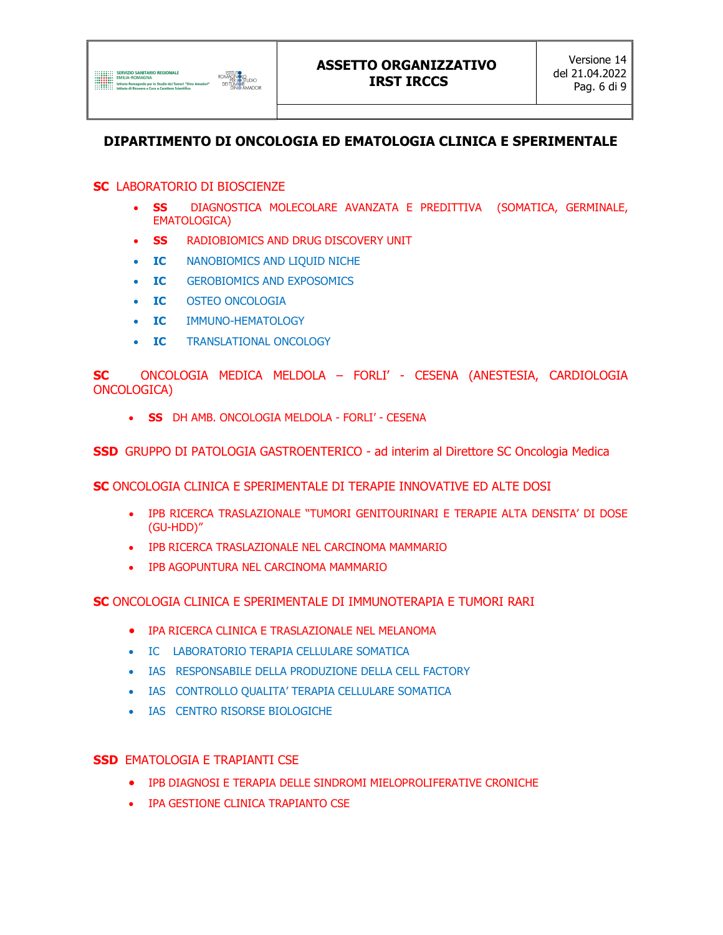

## DIPARTIMENTO DI ONCOLOGIA ED EMATOLOGIA CLINICA E SPERIMENTALE

#### SC LABORATORIO DI BIOSCIENZE

- SS DIAGNOSTICA MOLECOLARE AVANZATA E PREDITTIVA (SOMATICA, GERMINALE, EMATOLOGICA)
- SS RADIOBIOMICS AND DRUG DISCOVERY UNIT
- IC NANOBIOMICS AND LIQUID NICHE
- IC GEROBIOMICS AND EXPOSOMICS
- IC OSTEO ONCOLOGIA
- IC IMMUNO-HEMATOLOGY
- IC TRANSLATIONAL ONCOLOGY

SC ONCOLOGIA MEDICA MELDOLA – FORLI' - CESENA (ANESTESIA, CARDIOLOGIA ONCOLOGICA)

• **SS** DH AMB. ONCOLOGIA MELDOLA - FORLI' - CESENA

SSD GRUPPO DI PATOLOGIA GASTROENTERICO - ad interim al Direttore SC Oncologia Medica

SC ONCOLOGIA CLINICA E SPERIMENTALE DI TERAPIE INNOVATIVE ED ALTE DOSI

- IPB RICERCA TRASLAZIONALE "TUMORI GENITOURINARI E TERAPIE ALTA DENSITA' DI DOSE (GU-HDD)"
- IPB RICERCA TRASLAZIONALE NEL CARCINOMA MAMMARIO
- IPB AGOPUNTURA NEL CARCINOMA MAMMARIO

SC ONCOLOGIA CLINICA E SPERIMENTALE DI IMMUNOTERAPIA E TUMORI RARI

- IPA RICERCA CLINICA E TRASLAZIONALE NEL MELANOMA
- IC LABORATORIO TERAPIA CELLULARE SOMATICA
- IAS RESPONSABILE DELLA PRODUZIONE DELLA CELL FACTORY
- IAS CONTROLLO QUALITA' TERAPIA CELLULARE SOMATICA
- IAS CENTRO RISORSE BIOLOGICHE

#### SSD EMATOLOGIA E TRAPIANTI CSE

- IPB DIAGNOSI E TERAPIA DELLE SINDROMI MIELOPROLIFERATIVE CRONICHE
- IPA GESTIONE CLINICA TRAPIANTO CSE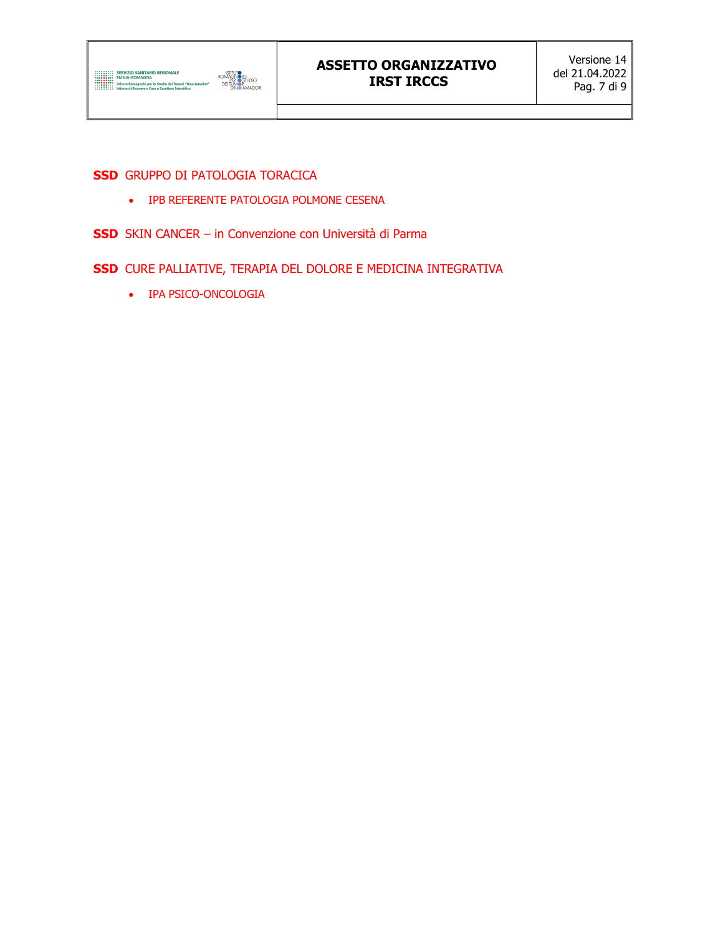#### SSD GRUPPO DI PATOLOGIA TORACICA

- IPB REFERENTE PATOLOGIA POLMONE CESENA
- SSD SKIN CANCER in Convenzione con Università di Parma
- SSD CURE PALLIATIVE, TERAPIA DEL DOLORE E MEDICINA INTEGRATIVA
	- IPA PSICO-ONCOLOGIA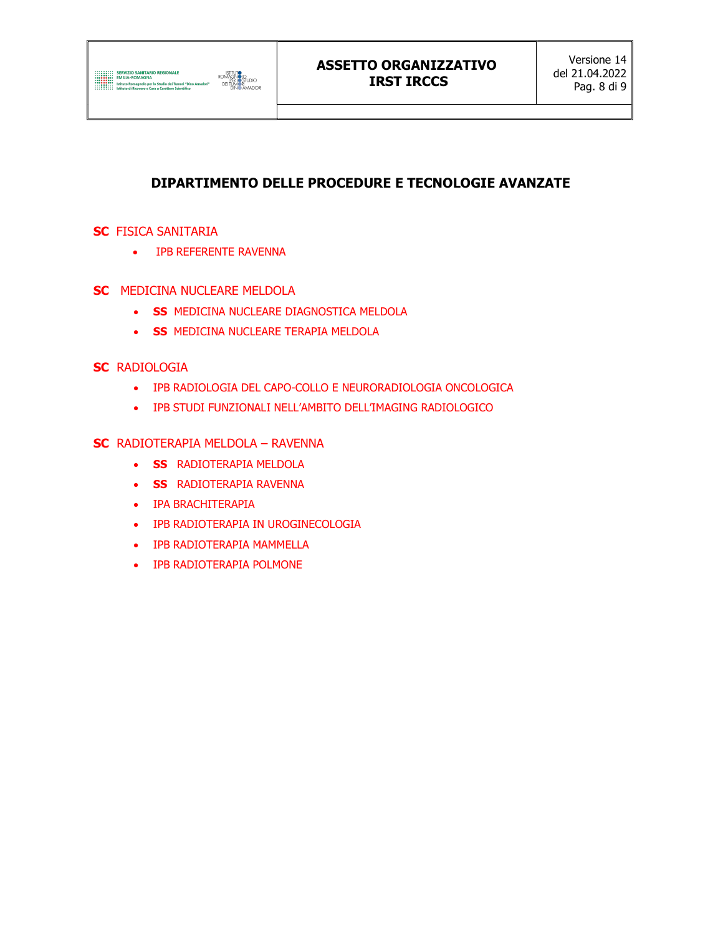

## ASSETTO ORGANIZZATIVO IRST IRCCS

## DIPARTIMENTO DELLE PROCEDURE E TECNOLOGIE AVANZATE

#### **SC** FISICA SANITARIA

IPB REFERENTE RAVENNA

#### **SC** MEDICINA NUCLEARE MELDOLA

- **SS MEDICINA NUCLEARE DIAGNOSTICA MELDOLA**
- SS MEDICINA NUCLEARE TERAPIA MELDOLA

#### **SC RADIOLOGIA**

- IPB RADIOLOGIA DEL CAPO-COLLO E NEURORADIOLOGIA ONCOLOGICA
- IPB STUDI FUNZIONALI NELL'AMBITO DELL'IMAGING RADIOLOGICO

#### SC RADIOTERAPIA MELDOLA – RAVENNA

- **SS** RADIOTERAPIA MELDOLA
- **SS** RADIOTERAPIA RAVENNA
- IPA BRACHITERAPIA
- IPB RADIOTERAPIA IN UROGINECOLOGIA
- IPB RADIOTERAPIA MAMMELLA
- IPB RADIOTERAPIA POLMONE